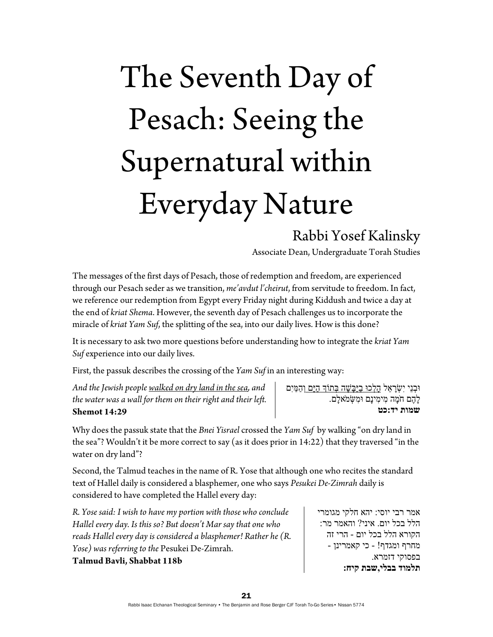## The Seventh Day of Pesach: Seeing the Supernatural within Everyday Nature

## Rabbi Yosef Kalinsky

Associate Dean, Undergraduate Torah Studies

The messages of the first days of Pesach, those of redemption and freedom, are experienced through our Pesach seder as we transition, *me'avdut l'cheirut*, from servitude to freedom. In fact, we reference our redemption from Egypt every Friday night during Kiddush and twice a day at the end of *kriat Shema*. However, the seventh day of Pesach challenges us to incorporate the miracle of *kriat Yam Suf*, the splitting of the sea, into our daily lives. How is this done?

It is necessary to ask two more questions before understanding how to integrate the *kriat Yam Suf* experience into our daily lives.

First, the passuk describes the crossing of the *Yam Suf* in an interesting way:

*And the Jewish people walked on dry land in the sea, and the water was a wall for them on their right and their left.*  **Shemot 14:29** 

וּבִנֵי יִשְׂרַאֵל <u>הלכוּ בַיַּבַּשָׁה בְּתוֹךְ הַיַּם וְהָמ</u>ּיִם ָל ֶהם חָֹמה ִמ ִימינָם ִוּמ ְשּׂמֹ ָאלם. **שמות יד:כט**

Why does the passuk state that the *Bnei Yisrael* crossed the *Yam Suf* by walking "on dry land in the sea"? Wouldn't it be more correct to say (as it does prior in 14:22) that they traversed "in the water on dry land"?

Second, the Talmud teaches in the name of R. Yose that although one who recites the standard text of Hallel daily is considered a blasphemer, one who says *Pesukei De-Zimrah* daily is considered to have completed the Hallel every day:

*R. Yose said: I wish to have my portion with those who conclude Hallel every day. Is this so? But doesn't Mar say that one who reads Hallel every day is considered a blasphemer! Rather he (R. Yose) was referring to the* Pesukei De-Zimrah. **Talmud Bavli, Shabbat 118b** 

אמר רבי יוסי: יהא חלקי מגומרי הלל בכל יום. איני? והאמר מר: הקורא הלל בכל יום - הרי זה מחרף ומגדף! - כי קאמרינן - בפסוקי דזמרא. **תלמוד בבלי,שבת קיח:**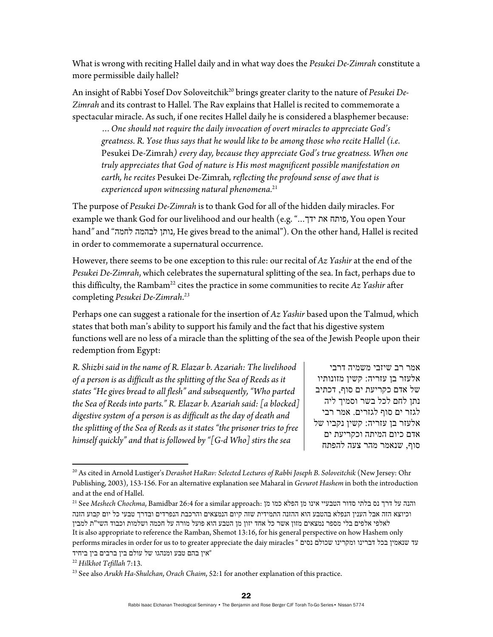What is wrong with reciting Hallel daily and in what way does the *Pesukei De-Zimrah* constitute a more permissible daily hallel?

An insight of Rabbi Yosef Dov Soloveitchik<sup>20</sup> brings greater clarity to the nature of *Pesukei De-Zimrah* and its contrast to Hallel. The Rav explains that Hallel is recited to commemorate a spectacular miracle. As such, if one recites Hallel daily he is considered a blasphemer because:

*…One should not require the daily invocation of overt miracles to appreciate God's greatness. R. Yose thus says that he would like to be among those who recite Hallel (i.e.*  Pesukei De-Zimrah*) every day, because they appreciate God's true greatness. When one truly appreciates that God of nature is His most magnificent possible manifestation on earth, he recites* Pesukei De-Zimrah*, reflecting the profound sense of awe that is experienced upon witnessing natural phenomena.*<sup>21</sup>

The purpose of *Pesukei De-Zimrah* is to thank God for all of the hidden daily miracles. For example we thank God for our livelihood and our health (e.g. "...ידך את פותח, You open Your hand*"* and "לחמה לבהמה נותן, He gives bread to the animal"). On the other hand, Hallel is recited in order to commemorate a supernatural occurrence.

However, there seems to be one exception to this rule: our recital of *Az Yashir* at the end of the *Pesukei De-Zimrah*, which celebrates the supernatural splitting of the sea. In fact, perhaps due to this difficulty, the Rambam22 cites the practice in some communities to recite *Az Yashir* after completing *Pesukei De-Zimrah*. *23*

Perhaps one can suggest a rationale for the insertion of *Az Yashir* based upon the Talmud, which states that both man's ability to support his family and the fact that his digestive system functions well are no less of a miracle than the splitting of the sea of the Jewish People upon their redemption from Egypt:

*R. Shizbi said in the name of R. Elazar b. Azariah: The livelihood of a person is as difficult as the splitting of the Sea of Reeds as it states "He gives bread to all flesh" and subsequently, "Who parted the Sea of Reeds into parts." R. Elazar b. Azariah said: [a blocked] digestive system of a person is as difficult as the day of death and the splitting of the Sea of Reeds as it states "the prisoner tries to free himself quickly" and that is followed by "[G-d Who] stirs the sea* 

אמר רב שיזבי משמיה דרבי אלעזר בן עזריה: קשין מזונותיו של אדם כקריעת ים סוף, דכתיב נתן לחם לכל בשר וסמיך ליה לגזר ים סוף לגזרים. אמר רבי אלעזר בן עזריה: קשין נקביו של אדם כיום המיתה וכקריעת ים סוף, שנאמר מהר צעה להפתח

והנה על דרך נס בלתי סדור הטבעיי אינו מן הפלא כמו מן :<sup>21</sup> See Meshech Chochma, Bamidbar 26:4 for a similar approach וכיוצא הזה אבל הענין הנפלא בהטבע הוא ההזנה התמידית שזה קיום הנמצאים והרכבת הנפרדים ובדרך טבעי כל יום קבוע הזנה לאלפי אלפים בלי מספר נמצאים מזון אשר כל אחד יזון מן הטבע הוא פועל מורה על חכמה ושלמות וכבוד השי"ת למבין It is also appropriate to reference the Ramban, Shemot 13:16, for his general perspective on how Hashem only performs miracles in order for us to to greater appreciate the daiy miracles " נסים שכולם ומקרינו דברינו בכל שנאמין עד

<sup>20</sup> As cited in Arnold Lustiger's *Derashot HaRav: Selected Lectures of Rabbi Joseph B. Soloveitchik* (New Jersey: Ohr Publishing, 2003), 153-156. For an alternative explanation see Maharal in *Gevurot Hashem* in both the introduction and at the end of Hallel.

ביחיד בין ברבים בין עולם של ומנהגו טבע בהם אין "22 *Hilkhot Tefillah* 7:13. 23 See also *Arukh Ha-Shulchan*, *Orach Chaim*, 52:1 for another explanation of this practice.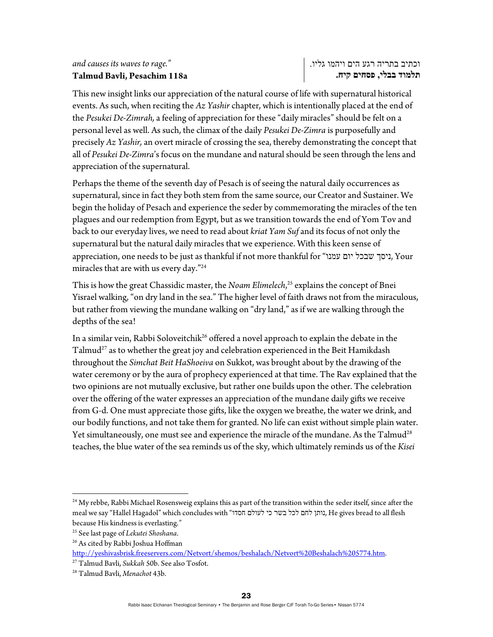## *and causes its waves to rage."*  **Talmud Bavli, Pesachim 118a**

This new insight links our appreciation of the natural course of life with supernatural historical events. As such, when reciting the *Az Yashir* chapter, which is intentionally placed at the end of the *Pesukei De-Zimrah,* a feeling of appreciation for these "daily miracles" should be felt on a personal level as well. As such, the climax of the daily *Pesukei De-Zimra* is purposefully and precisely *Az Yashir,* an overt miracle of crossing the sea, thereby demonstrating the concept that all of *Pesukei De-Zimra*'s focus on the mundane and natural should be seen through the lens and appreciation of the supernatural.

Perhaps the theme of the seventh day of Pesach is of seeing the natural daily occurrences as supernatural, since in fact they both stem from the same source, our Creator and Sustainer. We begin the holiday of Pesach and experience the seder by commemorating the miracles of the ten plagues and our redemption from Egypt, but as we transition towards the end of Yom Tov and back to our everyday lives, we need to read about *kriat Yam Suf* and its focus of not only the supernatural but the natural daily miracles that we experience. With this keen sense of appreciation, one needs to be just as thankful if not more thankful for "עמנו יום שבכל ניסך, Your miracles that are with us every day."24

This is how the great Chassidic master, the *Noam Elimelech*, 25 explains the concept of Bnei Yisrael walking, "on dry land in the sea." The higher level of faith draws not from the miraculous, but rather from viewing the mundane walking on "dry land," as if we are walking through the depths of the sea!

In a similar vein, Rabbi Soloveitchik<sup>26</sup> offered a novel approach to explain the debate in the  $Talmud<sup>27</sup>$  as to whether the great joy and celebration experienced in the Beit Hamikdash throughout the *Simchat Beit HaShoeiva* on Sukkot, was brought about by the drawing of the water ceremony or by the aura of prophecy experienced at that time. The Rav explained that the two opinions are not mutually exclusive, but rather one builds upon the other. The celebration over the offering of the water expresses an appreciation of the mundane daily gifts we receive from G-d. One must appreciate those gifts, like the oxygen we breathe, the water we drink, and our bodily functions, and not take them for granted. No life can exist without simple plain water. Yet simultaneously, one must see and experience the miracle of the mundane. As the Talmud<sup>28</sup> teaches, the blue water of the sea reminds us of the sky, which ultimately reminds us of the *Kisei* 

<sup>&</sup>lt;sup>24</sup> My rebbe, Rabbi Michael Rosensweig explains this as part of the transition within the seder itself, since after the meal we say "Hallel Hagadol" which concludes with "חסדו לעולם הסדו לעולם הכי לעולם, He gives bread to all flesh because His kindness is everlasting.*"* 

<sup>25</sup> See last page of *Lekutei Shoshana*. 26 As cited by Rabbi Joshua Hoffman

http://yeshivasbrisk.freeservers.com/Netvort/shemos/beshalach/Netvort%20Beshalach%205774.htm. 27 Talmud Bavli, *Sukkah* 50b. See also Tosfot. 28 Talmud Bavli, *Menachot* 43b.